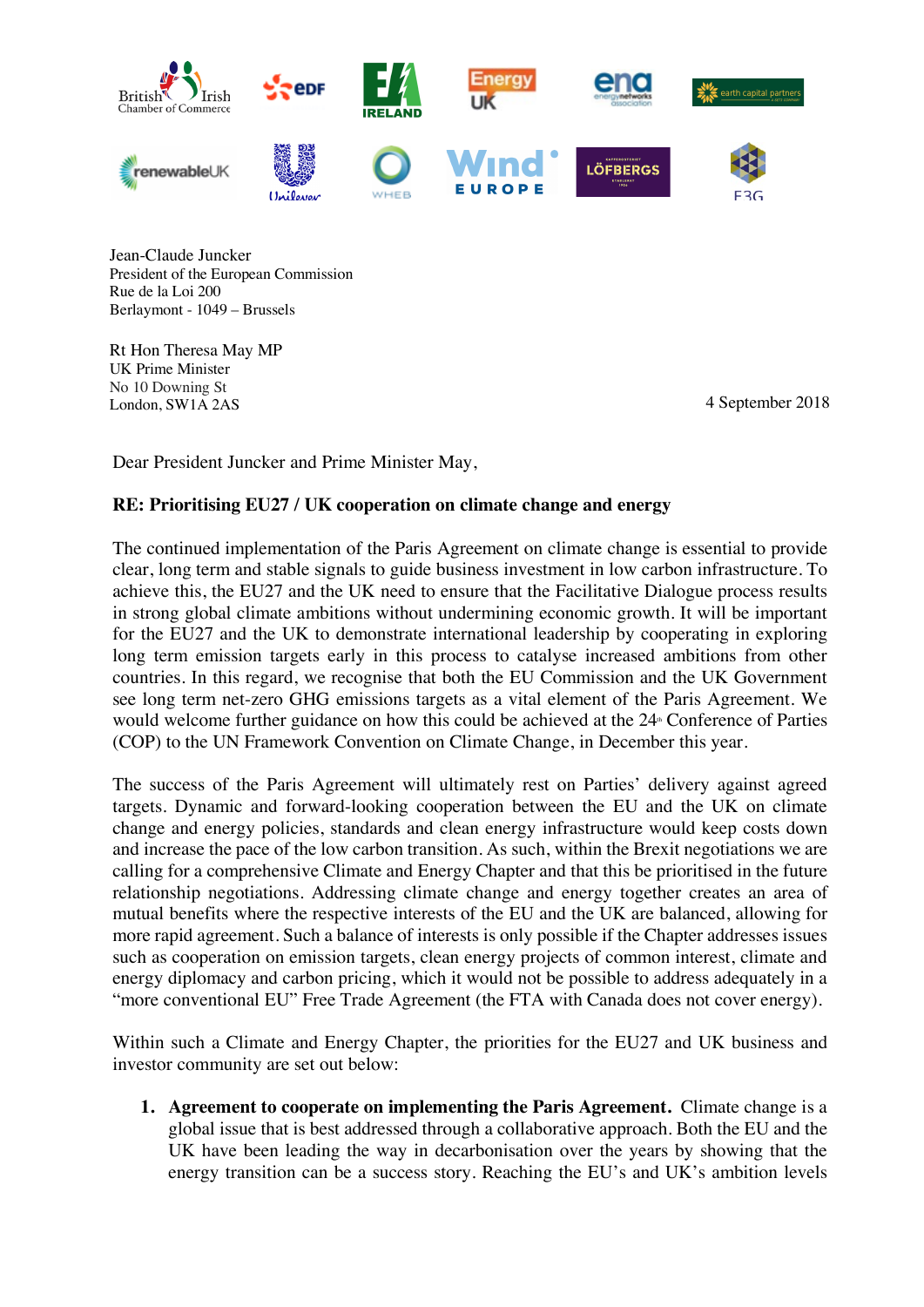

Jean-Claude Juncker President of the European Commission Rue de la Loi 200 Berlaymont - 1049 – Brussels

Rt Hon Theresa May MP UK Prime Minister No 10 Downing St London, SW1A 2AS 4 September 2018

Dear President Juncker and Prime Minister May,

## **RE: Prioritising EU27 / UK cooperation on climate change and energy**

The continued implementation of the Paris Agreement on climate change is essential to provide clear, long term and stable signals to guide business investment in low carbon infrastructure. To achieve this, the EU27 and the UK need to ensure that the Facilitative Dialogue process results in strong global climate ambitions without undermining economic growth. It will be important for the EU27 and the UK to demonstrate international leadership by cooperating in exploring long term emission targets early in this process to catalyse increased ambitions from other countries. In this regard, we recognise that both the EU Commission and the UK Government see long term net-zero GHG emissions targets as a vital element of the Paris Agreement. We would welcome further guidance on how this could be achieved at the 24<sup>th</sup> Conference of Parties (COP) to the UN Framework Convention on Climate Change, in December this year.

The success of the Paris Agreement will ultimately rest on Parties' delivery against agreed targets. Dynamic and forward-looking cooperation between the EU and the UK on climate change and energy policies, standards and clean energy infrastructure would keep costs down and increase the pace of the low carbon transition. As such, within the Brexit negotiations we are calling for a comprehensive Climate and Energy Chapter and that this be prioritised in the future relationship negotiations. Addressing climate change and energy together creates an area of mutual benefits where the respective interests of the EU and the UK are balanced, allowing for more rapid agreement. Such a balance of interests is only possible if the Chapter addresses issues such as cooperation on emission targets, clean energy projects of common interest, climate and energy diplomacy and carbon pricing, which it would not be possible to address adequately in a "more conventional EU" Free Trade Agreement (the FTA with Canada does not cover energy).

Within such a Climate and Energy Chapter, the priorities for the EU27 and UK business and investor community are set out below:

**1. Agreement to cooperate on implementing the Paris Agreement.** Climate change is a global issue that is best addressed through a collaborative approach. Both the EU and the UK have been leading the way in decarbonisation over the years by showing that the energy transition can be a success story. Reaching the EU's and UK's ambition levels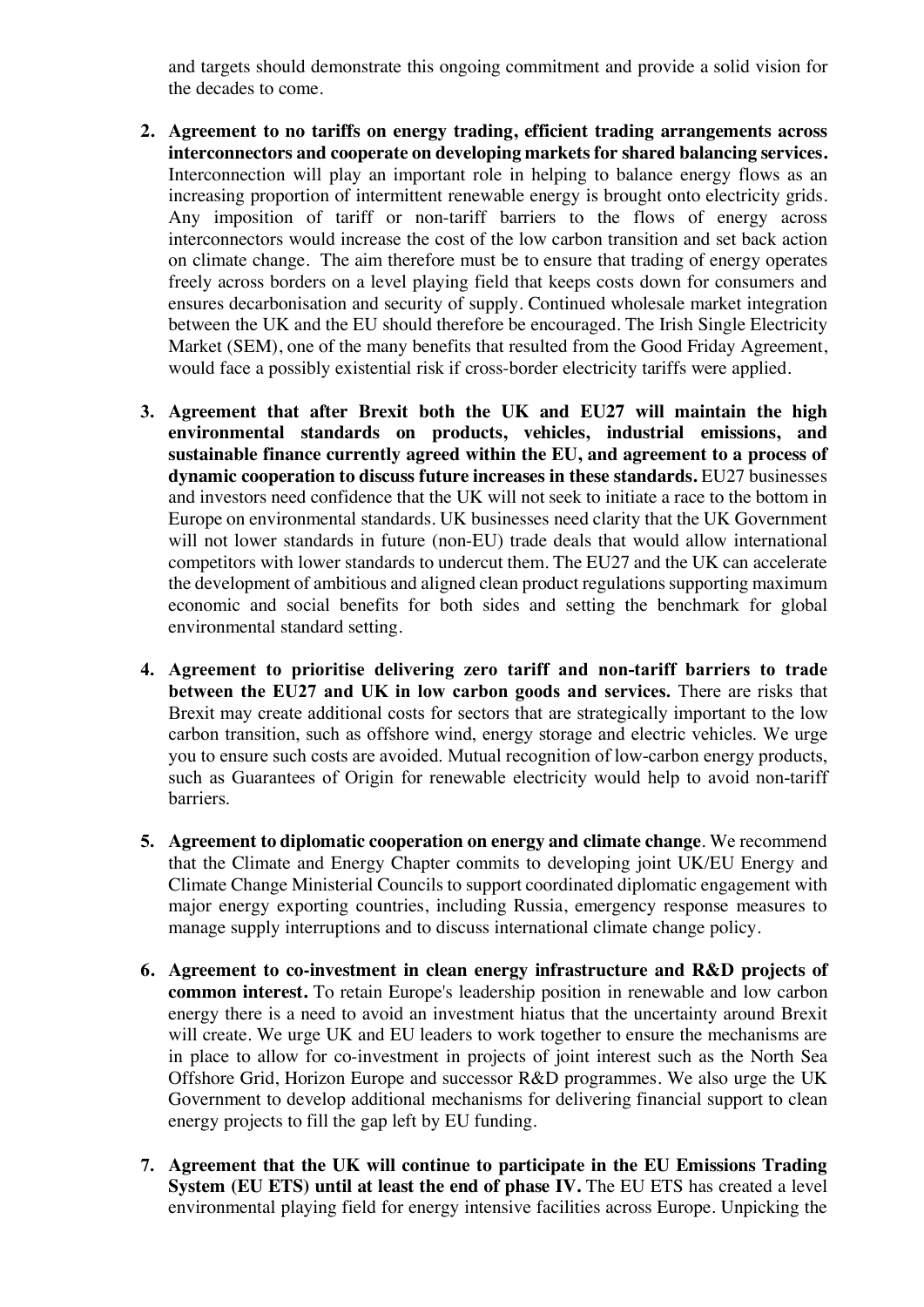and targets should demonstrate this ongoing commitment and provide a solid vision for the decades to come.

- **2. Agreement to no tariffs on energy trading, efficient trading arrangements across interconnectors and cooperate on developing markets for shared balancing services.**  Interconnection will play an important role in helping to balance energy flows as an increasing proportion of intermittent renewable energy is brought onto electricity grids. Any imposition of tariff or non-tariff barriers to the flows of energy across interconnectors would increase the cost of the low carbon transition and set back action on climate change. The aim therefore must be to ensure that trading of energy operates freely across borders on a level playing field that keeps costs down for consumers and ensures decarbonisation and security of supply. Continued wholesale market integration between the UK and the EU should therefore be encouraged. The Irish Single Electricity Market (SEM), one of the many benefits that resulted from the Good Friday Agreement, would face a possibly existential risk if cross-border electricity tariffs were applied.
- **3. Agreement that after Brexit both the UK and EU27 will maintain the high environmental standards on products, vehicles, industrial emissions, and sustainable finance currently agreed within the EU, and agreement to a process of dynamic cooperation to discuss future increases in these standards.** EU27 businesses and investors need confidence that the UK will not seek to initiate a race to the bottom in Europe on environmental standards. UK businesses need clarity that the UK Government will not lower standards in future (non-EU) trade deals that would allow international competitors with lower standards to undercut them. The EU27 and the UK can accelerate the development of ambitious and aligned clean product regulations supporting maximum economic and social benefits for both sides and setting the benchmark for global environmental standard setting.
- **4. Agreement to prioritise delivering zero tariff and non-tariff barriers to trade between the EU27 and UK in low carbon goods and services.** There are risks that Brexit may create additional costs for sectors that are strategically important to the low carbon transition, such as offshore wind, energy storage and electric vehicles. We urge you to ensure such costs are avoided. Mutual recognition of low-carbon energy products, such as Guarantees of Origin for renewable electricity would help to avoid non-tariff barriers.
- **5. Agreement to diplomatic cooperation on energy and climate change**. We recommend that the Climate and Energy Chapter commits to developing joint UK/EU Energy and Climate Change Ministerial Councils to support coordinated diplomatic engagement with major energy exporting countries, including Russia, emergency response measures to manage supply interruptions and to discuss international climate change policy.
- **6. Agreement to co-investment in clean energy infrastructure and R&D projects of common interest.** To retain Europe's leadership position in renewable and low carbon energy there is a need to avoid an investment hiatus that the uncertainty around Brexit will create. We urge UK and EU leaders to work together to ensure the mechanisms are in place to allow for co-investment in projects of joint interest such as the North Sea Offshore Grid, Horizon Europe and successor R&D programmes. We also urge the UK Government to develop additional mechanisms for delivering financial support to clean energy projects to fill the gap left by EU funding.
- **7. Agreement that the UK will continue to participate in the EU Emissions Trading System (EU ETS) until at least the end of phase IV.** The EU ETS has created a level environmental playing field for energy intensive facilities across Europe. Unpicking the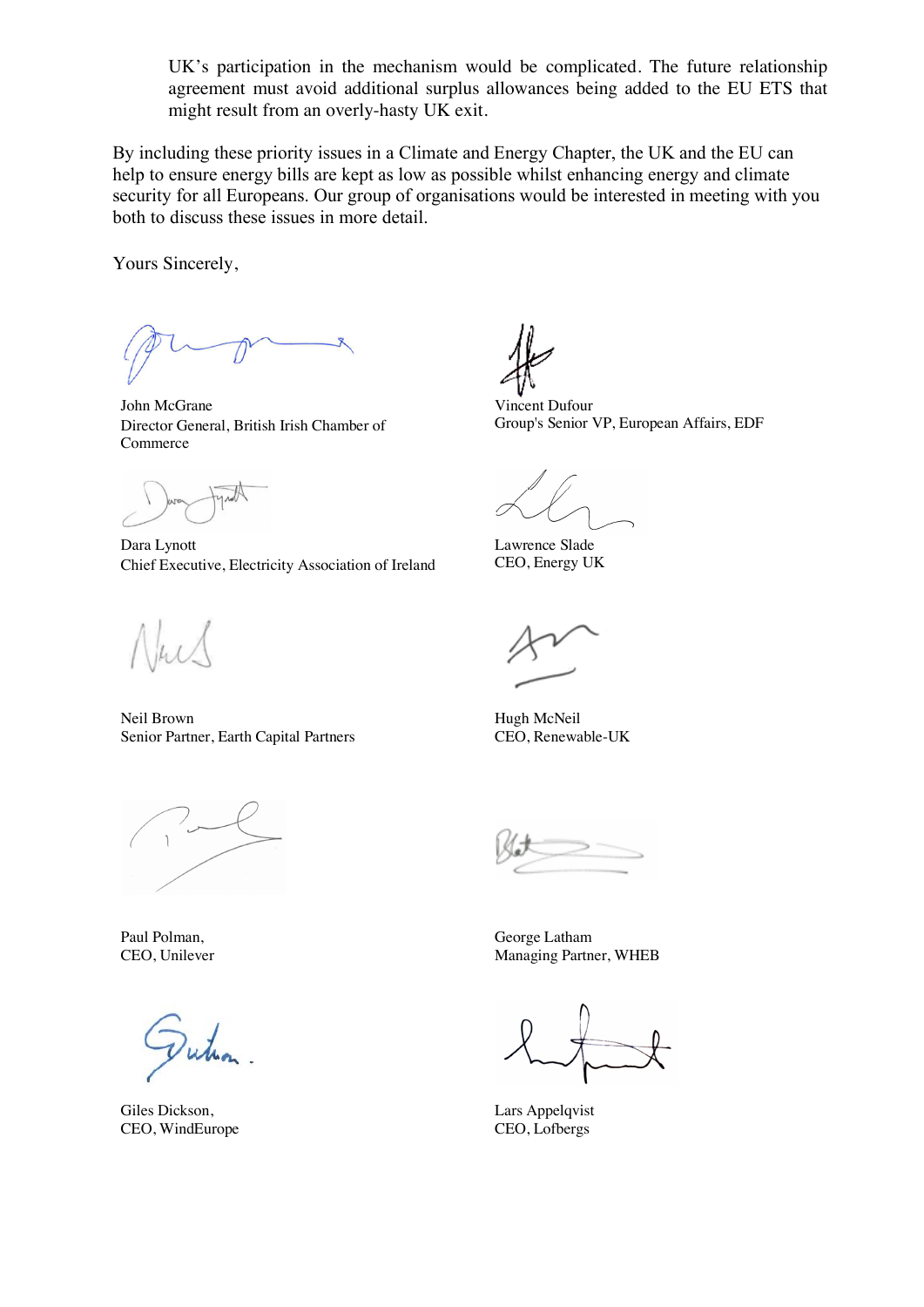UK's participation in the mechanism would be complicated. The future relationship agreement must avoid additional surplus allowances being added to the EU ETS that might result from an overly-hasty UK exit.

By including these priority issues in a Climate and Energy Chapter, the UK and the EU can help to ensure energy bills are kept as low as possible whilst enhancing energy and climate security for all Europeans. Our group of organisations would be interested in meeting with you both to discuss these issues in more detail.

Yours Sincerely,

John McGrane Director General, British Irish Chamber of Commerce

Dara Lynott Chief Executive, Electricity Association of Ireland

Neil Brown Senior Partner, Earth Capital Partners

Paul Polman, CEO, Unilever

Giles Dickson, CEO, WindEurope

Vincent Dufour Group's Senior VP, European Affairs, EDF

Lawrence Slade CEO, Energy UK

Hugh McNeil CEO, Renewable-UK

George Latham Managing Partner, WHEB

Lars Appelqvist CEO, Lofbergs